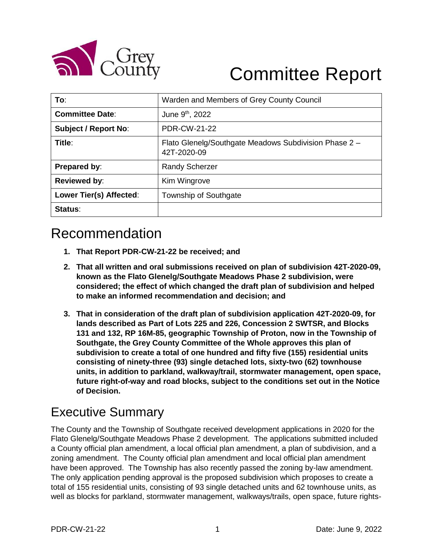

# Committee Report

| To:                         | Warden and Members of Grey County Council                            |
|-----------------------------|----------------------------------------------------------------------|
| <b>Committee Date:</b>      | June 9 <sup>th</sup> , 2022                                          |
| <b>Subject / Report No:</b> | <b>PDR-CW-21-22</b>                                                  |
| Title:                      | Flato Glenelg/Southgate Meadows Subdivision Phase 2 -<br>42T-2020-09 |
| Prepared by:                | <b>Randy Scherzer</b>                                                |
| <b>Reviewed by:</b>         | Kim Wingrove                                                         |
| Lower Tier(s) Affected:     | Township of Southgate                                                |
| Status:                     |                                                                      |

# Recommendation

- **1. That Report PDR-CW-21-22 be received; and**
- **2. That all written and oral submissions received on plan of subdivision 42T-2020-09, known as the Flato Glenelg/Southgate Meadows Phase 2 subdivision, were considered; the effect of which changed the draft plan of subdivision and helped to make an informed recommendation and decision; and**
- **3. That in consideration of the draft plan of subdivision application 42T-2020-09, for lands described as Part of Lots 225 and 226, Concession 2 SWTSR, and Blocks 131 and 132, RP 16M-85, geographic Township of Proton, now in the Township of Southgate, the Grey County Committee of the Whole approves this plan of subdivision to create a total of one hundred and fifty five (155) residential units consisting of ninety-three (93) single detached lots, sixty-two (62) townhouse units, in addition to parkland, walkway/trail, stormwater management, open space, future right-of-way and road blocks, subject to the conditions set out in the Notice of Decision.**

# Executive Summary

The County and the Township of Southgate received development applications in 2020 for the Flato Glenelg/Southgate Meadows Phase 2 development. The applications submitted included a County official plan amendment, a local official plan amendment, a plan of subdivision, and a zoning amendment. The County official plan amendment and local official plan amendment have been approved. The Township has also recently passed the zoning by-law amendment. The only application pending approval is the proposed subdivision which proposes to create a total of 155 residential units, consisting of 93 single detached units and 62 townhouse units, as well as blocks for parkland, stormwater management, walkways/trails, open space, future rights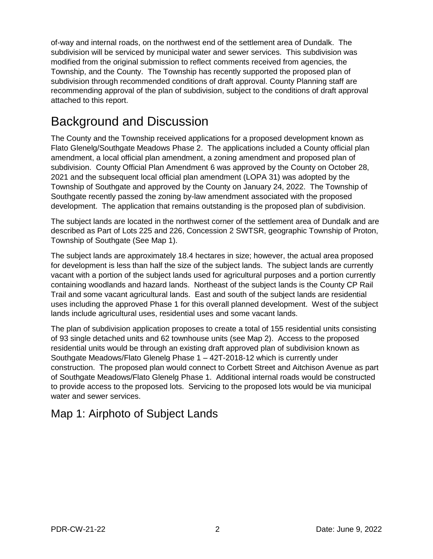of-way and internal roads, on the northwest end of the settlement area of Dundalk. The subdivision will be serviced by municipal water and sewer services. This subdivision was modified from the original submission to reflect comments received from agencies, the Township, and the County. The Township has recently supported the proposed plan of subdivision through recommended conditions of draft approval. County Planning staff are recommending approval of the plan of subdivision, subject to the conditions of draft approval attached to this report.

# Background and Discussion

The County and the Township received applications for a proposed development known as Flato Glenelg/Southgate Meadows Phase 2. The applications included a County official plan amendment, a local official plan amendment, a zoning amendment and proposed plan of subdivision. County Official Plan Amendment 6 was approved by the County on October 28, 2021 and the subsequent local official plan amendment (LOPA 31) was adopted by the Township of Southgate and approved by the County on January 24, 2022. The Township of Southgate recently passed the zoning by-law amendment associated with the proposed development. The application that remains outstanding is the proposed plan of subdivision.

The subject lands are located in the northwest corner of the settlement area of Dundalk and are described as Part of Lots 225 and 226, Concession 2 SWTSR, geographic Township of Proton, Township of Southgate (See Map 1).

The subject lands are approximately 18.4 hectares in size; however, the actual area proposed for development is less than half the size of the subject lands. The subject lands are currently vacant with a portion of the subject lands used for agricultural purposes and a portion currently containing woodlands and hazard lands. Northeast of the subject lands is the County CP Rail Trail and some vacant agricultural lands. East and south of the subject lands are residential uses including the approved Phase 1 for this overall planned development. West of the subject lands include agricultural uses, residential uses and some vacant lands.

The plan of subdivision application proposes to create a total of 155 residential units consisting of 93 single detached units and 62 townhouse units (see Map 2). Access to the proposed residential units would be through an existing draft approved plan of subdivision known as Southgate Meadows/Flato Glenelg Phase 1 – 42T-2018-12 which is currently under construction. The proposed plan would connect to Corbett Street and Aitchison Avenue as part of Southgate Meadows/Flato Glenelg Phase 1. Additional internal roads would be constructed to provide access to the proposed lots. Servicing to the proposed lots would be via municipal water and sewer services.

# Map 1: Airphoto of Subject Lands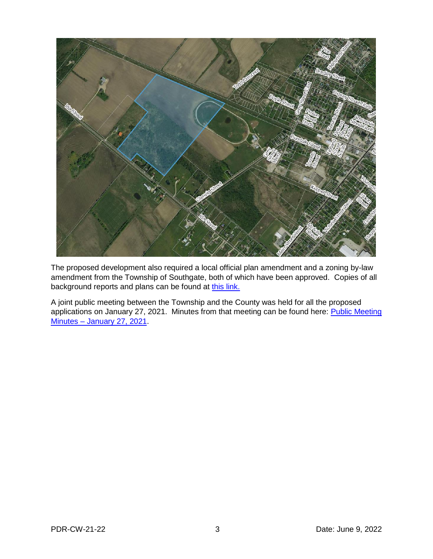

The proposed development also required a local official plan amendment and a zoning by-law amendment from the Township of Southgate, both of which have been approved. Copies of all background reports and plans can be found at [this link.](https://www.grey.ca/planning-development/planning-applications/opa-6-and-southgate-meadows-phase-2-subdivision)

A joint public meeting between the Township and the County was held for all the proposed applications on January 27, 2021. Minutes from that meeting can be found here: Public Meeting Minutes – [January 27, 2021.](https://docs.grey.ca/share/public?nodeRef=workspace%3A//SpacesStore/4c875a4b-64d5-409f-ac7d-8c90b09110c9)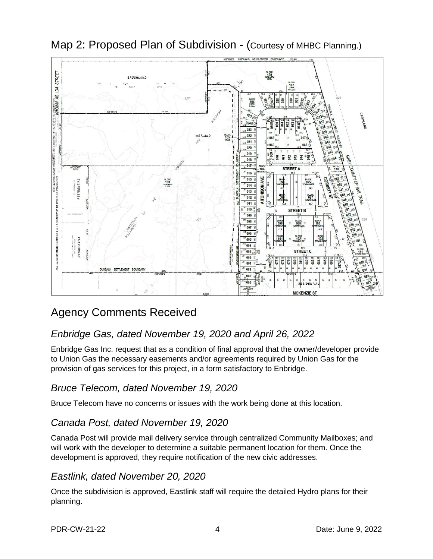

Map 2: Proposed Plan of Subdivision - (Courtesy of MHBC Planning.)

# Agency Comments Received

# *Enbridge Gas, dated November 19, 2020 and April 26, 2022*

Enbridge Gas Inc. request that as a condition of final approval that the owner/developer provide to Union Gas the necessary easements and/or agreements required by Union Gas for the provision of gas services for this project, in a form satisfactory to Enbridge.

### *Bruce Telecom, dated November 19, 2020*

Bruce Telecom have no concerns or issues with the work being done at this location.

### *Canada Post, dated November 19, 2020*

Canada Post will provide mail delivery service through centralized Community Mailboxes; and will work with the developer to determine a suitable permanent location for them. Once the development is approved, they require notification of the new civic addresses.

### *Eastlink, dated November 20, 2020*

Once the subdivision is approved, Eastlink staff will require the detailed Hydro plans for their planning.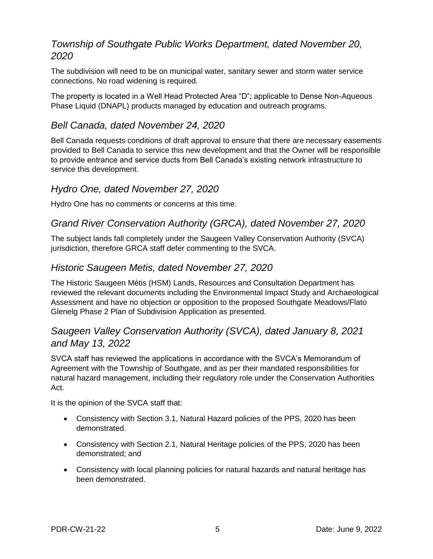### *Township of Southgate Public Works Department, dated November 20, 2020*

The subdivision will need to be on municipal water, sanitary sewer and storm water service connections. No road widening is required.

The property is located in a Well Head Protected Area "D"; applicable to Dense Non-Aqueous Phase Liquid (DNAPL) products managed by education and outreach programs.

### *Bell Canada, dated November 24, 2020*

Bell Canada requests conditions of draft approval to ensure that there are necessary easements provided to Bell Canada to service this new development and that the Owner will be responsible to provide entrance and service ducts from Bell Canada's existing network infrastructure to service this development.

#### *Hydro One, dated November 27, 2020*

Hydro One has no comments or concerns at this time.

### *Grand River Conservation Authority (GRCA), dated November 27, 2020*

The subject lands fall completely under the Saugeen Valley Conservation Authority (SVCA) jurisdiction, therefore GRCA staff defer commenting to the SVCA.

#### *Historic Saugeen Metis, dated November 27, 2020*

The Historic Saugeen Métis (HSM) Lands, Resources and Consultation Department has reviewed the relevant documents including the Environmental Impact Study and Archaeological Assessment and have no objection or opposition to the proposed Southgate Meadows/Flato Glenelg Phase 2 Plan of Subdivision Application as presented.

### *Saugeen Valley Conservation Authority (SVCA), dated January 8, 2021 and May 13, 2022*

SVCA staff has reviewed the applications in accordance with the SVCA's Memorandum of Agreement with the Township of Southgate, and as per their mandated responsibilities for natural hazard management, including their regulatory role under the Conservation Authorities Act.

It is the opinion of the SVCA staff that:

- Consistency with Section 3.1, Natural Hazard policies of the PPS, 2020 has been demonstrated.
- Consistency with Section 2.1, Natural Heritage policies of the PPS, 2020 has been demonstrated; and
- Consistency with local planning policies for natural hazards and natural heritage has been demonstrated.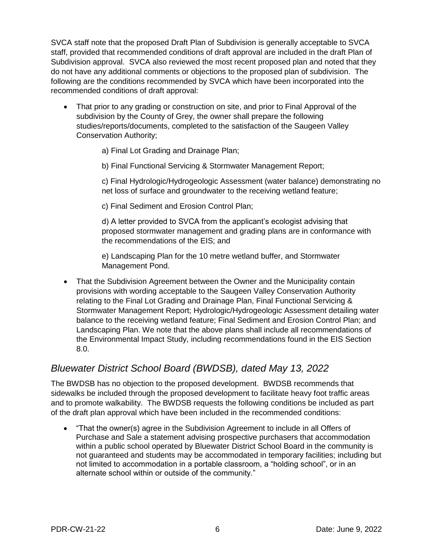SVCA staff note that the proposed Draft Plan of Subdivision is generally acceptable to SVCA staff, provided that recommended conditions of draft approval are included in the draft Plan of Subdivision approval. SVCA also reviewed the most recent proposed plan and noted that they do not have any additional comments or objections to the proposed plan of subdivision. The following are the conditions recommended by SVCA which have been incorporated into the recommended conditions of draft approval:

- That prior to any grading or construction on site, and prior to Final Approval of the subdivision by the County of Grey, the owner shall prepare the following studies/reports/documents, completed to the satisfaction of the Saugeen Valley Conservation Authority;
	- a) Final Lot Grading and Drainage Plan;
	- b) Final Functional Servicing & Stormwater Management Report;

c) Final Hydrologic/Hydrogeologic Assessment (water balance) demonstrating no net loss of surface and groundwater to the receiving wetland feature;

c) Final Sediment and Erosion Control Plan;

d) A letter provided to SVCA from the applicant's ecologist advising that proposed stormwater management and grading plans are in conformance with the recommendations of the EIS; and

e) Landscaping Plan for the 10 metre wetland buffer, and Stormwater Management Pond.

 That the Subdivision Agreement between the Owner and the Municipality contain provisions with wording acceptable to the Saugeen Valley Conservation Authority relating to the Final Lot Grading and Drainage Plan, Final Functional Servicing & Stormwater Management Report; Hydrologic/Hydrogeologic Assessment detailing water balance to the receiving wetland feature; Final Sediment and Erosion Control Plan; and Landscaping Plan. We note that the above plans shall include all recommendations of the Environmental Impact Study, including recommendations found in the EIS Section 8.0.

### *Bluewater District School Board (BWDSB), dated May 13, 2022*

The BWDSB has no objection to the proposed development. BWDSB recommends that sidewalks be included through the proposed development to facilitate heavy foot traffic areas and to promote walkability. The BWDSB requests the following conditions be included as part of the draft plan approval which have been included in the recommended conditions:

 "That the owner(s) agree in the Subdivision Agreement to include in all Offers of Purchase and Sale a statement advising prospective purchasers that accommodation within a public school operated by Bluewater District School Board in the community is not guaranteed and students may be accommodated in temporary facilities; including but not limited to accommodation in a portable classroom, a "holding school", or in an alternate school within or outside of the community."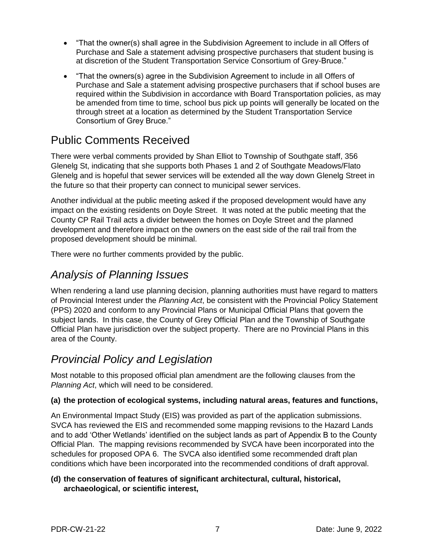- "That the owner(s) shall agree in the Subdivision Agreement to include in all Offers of Purchase and Sale a statement advising prospective purchasers that student busing is at discretion of the Student Transportation Service Consortium of Grey-Bruce."
- "That the owners(s) agree in the Subdivision Agreement to include in all Offers of Purchase and Sale a statement advising prospective purchasers that if school buses are required within the Subdivision in accordance with Board Transportation policies, as may be amended from time to time, school bus pick up points will generally be located on the through street at a location as determined by the Student Transportation Service Consortium of Grey Bruce."

# Public Comments Received

There were verbal comments provided by Shan Elliot to Township of Southgate staff, 356 Glenelg St, indicating that she supports both Phases 1 and 2 of Southgate Meadows/Flato Glenelg and is hopeful that sewer services will be extended all the way down Glenelg Street in the future so that their property can connect to municipal sewer services.

Another individual at the public meeting asked if the proposed development would have any impact on the existing residents on Doyle Street. It was noted at the public meeting that the County CP Rail Trail acts a divider between the homes on Doyle Street and the planned development and therefore impact on the owners on the east side of the rail trail from the proposed development should be minimal.

There were no further comments provided by the public.

## *Analysis of Planning Issues*

When rendering a land use planning decision, planning authorities must have regard to matters of Provincial Interest under the *Planning Act*, be consistent with the Provincial Policy Statement (PPS) 2020 and conform to any Provincial Plans or Municipal Official Plans that govern the subject lands. In this case, the County of Grey Official Plan and the Township of Southgate Official Plan have jurisdiction over the subject property. There are no Provincial Plans in this area of the County.

# *Provincial Policy and Legislation*

Most notable to this proposed official plan amendment are the following clauses from the *Planning Act*, which will need to be considered.

#### **(a) the protection of ecological systems, including natural areas, features and functions,**

An Environmental Impact Study (EIS) was provided as part of the application submissions. SVCA has reviewed the EIS and recommended some mapping revisions to the Hazard Lands and to add 'Other Wetlands' identified on the subject lands as part of Appendix B to the County Official Plan. The mapping revisions recommended by SVCA have been incorporated into the schedules for proposed OPA 6. The SVCA also identified some recommended draft plan conditions which have been incorporated into the recommended conditions of draft approval.

#### **(d) the conservation of features of significant architectural, cultural, historical, archaeological, or scientific interest,**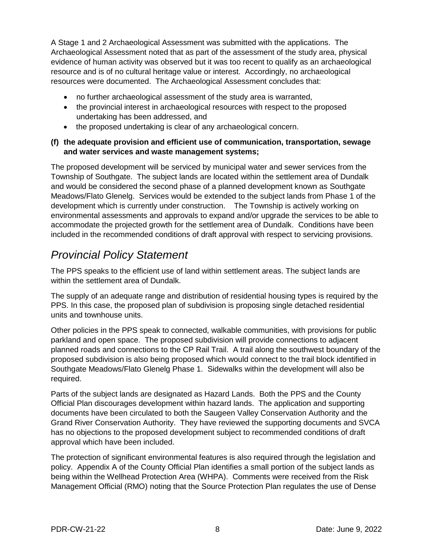A Stage 1 and 2 Archaeological Assessment was submitted with the applications. The Archaeological Assessment noted that as part of the assessment of the study area, physical evidence of human activity was observed but it was too recent to qualify as an archaeological resource and is of no cultural heritage value or interest. Accordingly, no archaeological resources were documented. The Archaeological Assessment concludes that:

- no further archaeological assessment of the study area is warranted,
- the provincial interest in archaeological resources with respect to the proposed undertaking has been addressed, and
- the proposed undertaking is clear of any archaeological concern.

#### **(f) the adequate provision and efficient use of communication, transportation, sewage and water services and waste management systems;**

The proposed development will be serviced by municipal water and sewer services from the Township of Southgate. The subject lands are located within the settlement area of Dundalk and would be considered the second phase of a planned development known as Southgate Meadows/Flato Glenelg. Services would be extended to the subject lands from Phase 1 of the development which is currently under construction. The Township is actively working on environmental assessments and approvals to expand and/or upgrade the services to be able to accommodate the projected growth for the settlement area of Dundalk. Conditions have been included in the recommended conditions of draft approval with respect to servicing provisions.

# *Provincial Policy Statement*

The PPS speaks to the efficient use of land within settlement areas. The subject lands are within the settlement area of Dundalk.

The supply of an adequate range and distribution of residential housing types is required by the PPS. In this case, the proposed plan of subdivision is proposing single detached residential units and townhouse units.

Other policies in the PPS speak to connected, walkable communities, with provisions for public parkland and open space. The proposed subdivision will provide connections to adjacent planned roads and connections to the CP Rail Trail. A trail along the southwest boundary of the proposed subdivision is also being proposed which would connect to the trail block identified in Southgate Meadows/Flato Glenelg Phase 1. Sidewalks within the development will also be required.

Parts of the subject lands are designated as Hazard Lands. Both the PPS and the County Official Plan discourages development within hazard lands. The application and supporting documents have been circulated to both the Saugeen Valley Conservation Authority and the Grand River Conservation Authority. They have reviewed the supporting documents and SVCA has no objections to the proposed development subject to recommended conditions of draft approval which have been included.

The protection of significant environmental features is also required through the legislation and policy. Appendix A of the County Official Plan identifies a small portion of the subject lands as being within the Wellhead Protection Area (WHPA). Comments were received from the Risk Management Official (RMO) noting that the Source Protection Plan regulates the use of Dense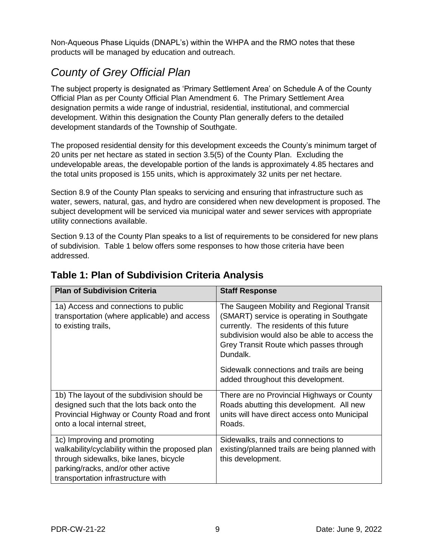Non-Aqueous Phase Liquids (DNAPL's) within the WHPA and the RMO notes that these products will be managed by education and outreach.

# *County of Grey Official Plan*

The subject property is designated as 'Primary Settlement Area' on Schedule A of the County Official Plan as per County Official Plan Amendment 6. The Primary Settlement Area designation permits a wide range of industrial, residential, institutional, and commercial development. Within this designation the County Plan generally defers to the detailed development standards of the Township of Southgate.

The proposed residential density for this development exceeds the County's minimum target of 20 units per net hectare as stated in section 3.5(5) of the County Plan. Excluding the undevelopable areas, the developable portion of the lands is approximately 4.85 hectares and the total units proposed is 155 units, which is approximately 32 units per net hectare.

Section 8.9 of the County Plan speaks to servicing and ensuring that infrastructure such as water, sewers, natural, gas, and hydro are considered when new development is proposed. The subject development will be serviced via municipal water and sewer services with appropriate utility connections available.

Section 9.13 of the County Plan speaks to a list of requirements to be considered for new plans of subdivision. Table 1 below offers some responses to how those criteria have been addressed.

| <b>Plan of Subdivision Criteria</b>                                                                                                                                                                   | <b>Staff Response</b>                                                                                                                                                                                                                    |
|-------------------------------------------------------------------------------------------------------------------------------------------------------------------------------------------------------|------------------------------------------------------------------------------------------------------------------------------------------------------------------------------------------------------------------------------------------|
| 1a) Access and connections to public<br>transportation (where applicable) and access<br>to existing trails,                                                                                           | The Saugeen Mobility and Regional Transit<br>(SMART) service is operating in Southgate<br>currently. The residents of this future<br>subdivision would also be able to access the<br>Grey Transit Route which passes through<br>Dundalk. |
|                                                                                                                                                                                                       | Sidewalk connections and trails are being<br>added throughout this development.                                                                                                                                                          |
| 1b) The layout of the subdivision should be<br>designed such that the lots back onto the<br>Provincial Highway or County Road and front<br>onto a local internal street,                              | There are no Provincial Highways or County<br>Roads abutting this development. All new<br>units will have direct access onto Municipal<br>Roads.                                                                                         |
| 1c) Improving and promoting<br>walkability/cyclability within the proposed plan<br>through sidewalks, bike lanes, bicycle<br>parking/racks, and/or other active<br>transportation infrastructure with | Sidewalks, trails and connections to<br>existing/planned trails are being planned with<br>this development.                                                                                                                              |

### **Table 1: Plan of Subdivision Criteria Analysis**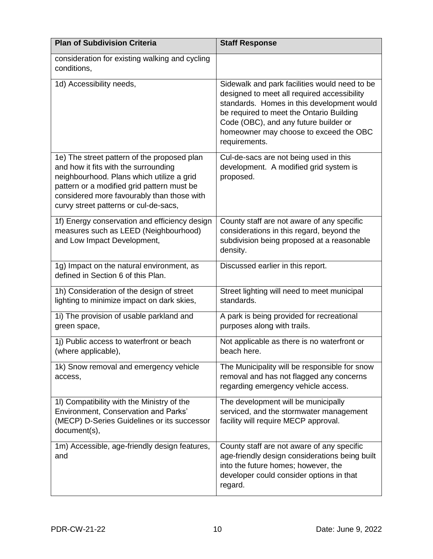| <b>Plan of Subdivision Criteria</b>                                                                                                                                                                                                                                   | <b>Staff Response</b>                                                                                                                                                                                                                                                                      |
|-----------------------------------------------------------------------------------------------------------------------------------------------------------------------------------------------------------------------------------------------------------------------|--------------------------------------------------------------------------------------------------------------------------------------------------------------------------------------------------------------------------------------------------------------------------------------------|
| consideration for existing walking and cycling<br>conditions,                                                                                                                                                                                                         |                                                                                                                                                                                                                                                                                            |
| 1d) Accessibility needs,                                                                                                                                                                                                                                              | Sidewalk and park facilities would need to be<br>designed to meet all required accessibility<br>standards. Homes in this development would<br>be required to meet the Ontario Building<br>Code (OBC), and any future builder or<br>homeowner may choose to exceed the OBC<br>requirements. |
| 1e) The street pattern of the proposed plan<br>and how it fits with the surrounding<br>neighbourhood. Plans which utilize a grid<br>pattern or a modified grid pattern must be<br>considered more favourably than those with<br>curvy street patterns or cul-de-sacs, | Cul-de-sacs are not being used in this<br>development. A modified grid system is<br>proposed.                                                                                                                                                                                              |
| 1f) Energy conservation and efficiency design<br>measures such as LEED (Neighbourhood)<br>and Low Impact Development,                                                                                                                                                 | County staff are not aware of any specific<br>considerations in this regard, beyond the<br>subdivision being proposed at a reasonable<br>density.                                                                                                                                          |
| 1g) Impact on the natural environment, as<br>defined in Section 6 of this Plan.                                                                                                                                                                                       | Discussed earlier in this report.                                                                                                                                                                                                                                                          |
| 1h) Consideration of the design of street<br>lighting to minimize impact on dark skies,                                                                                                                                                                               | Street lighting will need to meet municipal<br>standards.                                                                                                                                                                                                                                  |
| 1i) The provision of usable parkland and<br>green space,                                                                                                                                                                                                              | A park is being provided for recreational<br>purposes along with trails.                                                                                                                                                                                                                   |
| 1j) Public access to waterfront or beach<br>(where applicable),                                                                                                                                                                                                       | Not applicable as there is no waterfront or<br>beach here.                                                                                                                                                                                                                                 |
| 1k) Snow removal and emergency vehicle<br>access,                                                                                                                                                                                                                     | The Municipality will be responsible for snow<br>removal and has not flagged any concerns<br>regarding emergency vehicle access.                                                                                                                                                           |
| 1I) Compatibility with the Ministry of the<br>Environment, Conservation and Parks'<br>(MECP) D-Series Guidelines or its successor<br>document(s),                                                                                                                     | The development will be municipally<br>serviced, and the stormwater management<br>facility will require MECP approval.                                                                                                                                                                     |
| 1m) Accessible, age-friendly design features,<br>and                                                                                                                                                                                                                  | County staff are not aware of any specific<br>age-friendly design considerations being built<br>into the future homes; however, the<br>developer could consider options in that<br>regard.                                                                                                 |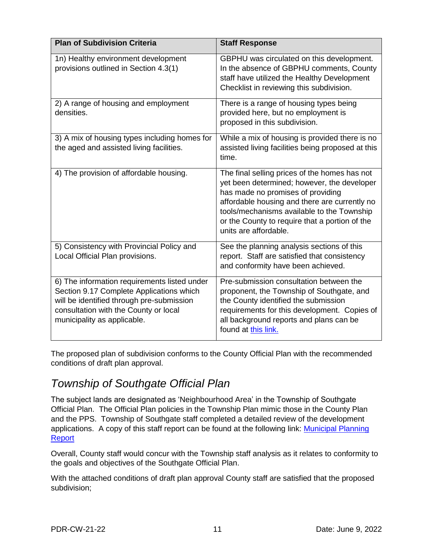| <b>Plan of Subdivision Criteria</b>                                                                                                                                                                           | <b>Staff Response</b>                                                                                                                                                                                                                                                                                       |
|---------------------------------------------------------------------------------------------------------------------------------------------------------------------------------------------------------------|-------------------------------------------------------------------------------------------------------------------------------------------------------------------------------------------------------------------------------------------------------------------------------------------------------------|
| 1n) Healthy environment development<br>provisions outlined in Section 4.3(1)                                                                                                                                  | GBPHU was circulated on this development.<br>In the absence of GBPHU comments, County<br>staff have utilized the Healthy Development<br>Checklist in reviewing this subdivision.                                                                                                                            |
| 2) A range of housing and employment<br>densities.                                                                                                                                                            | There is a range of housing types being<br>provided here, but no employment is<br>proposed in this subdivision.                                                                                                                                                                                             |
| 3) A mix of housing types including homes for<br>the aged and assisted living facilities.                                                                                                                     | While a mix of housing is provided there is no<br>assisted living facilities being proposed at this<br>time.                                                                                                                                                                                                |
| 4) The provision of affordable housing.                                                                                                                                                                       | The final selling prices of the homes has not<br>yet been determined; however, the developer<br>has made no promises of providing<br>affordable housing and there are currently no<br>tools/mechanisms available to the Township<br>or the County to require that a portion of the<br>units are affordable. |
| 5) Consistency with Provincial Policy and<br>Local Official Plan provisions.                                                                                                                                  | See the planning analysis sections of this<br>report. Staff are satisfied that consistency<br>and conformity have been achieved.                                                                                                                                                                            |
| 6) The information requirements listed under<br>Section 9.17 Complete Applications which<br>will be identified through pre-submission<br>consultation with the County or local<br>municipality as applicable. | Pre-submission consultation between the<br>proponent, the Township of Southgate, and<br>the County identified the submission<br>requirements for this development. Copies of<br>all background reports and plans can be<br>found at this link.                                                              |

The proposed plan of subdivision conforms to the County Official Plan with the recommended conditions of draft plan approval.

# *Township of Southgate Official Plan*

The subject lands are designated as 'Neighbourhood Area' in the Township of Southgate Official Plan. The Official Plan policies in the Township Plan mimic those in the County Plan and the PPS. Township of Southgate staff completed a detailed review of the development applications. A copy of this staff report can be found at the following link: [Municipal Planning](https://pub-southgate.escribemeetings.com/filestream.ashx?DocumentId=17389)  **Report** 

Overall, County staff would concur with the Township staff analysis as it relates to conformity to the goals and objectives of the Southgate Official Plan.

With the attached conditions of draft plan approval County staff are satisfied that the proposed subdivision;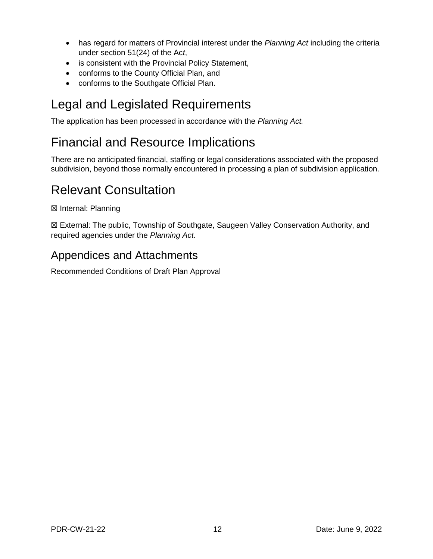- has regard for matters of Provincial interest under the *Planning Act* including the criteria under section 51(24) of the Ac*t*,
- is consistent with the Provincial Policy Statement,
- conforms to the County Official Plan, and
- conforms to the Southgate Official Plan.

# Legal and Legislated Requirements

The application has been processed in accordance with the *Planning Act.*

# Financial and Resource Implications

There are no anticipated financial, staffing or legal considerations associated with the proposed subdivision, beyond those normally encountered in processing a plan of subdivision application.

# Relevant Consultation

☒ Internal: Planning

☒ External: The public, Township of Southgate, Saugeen Valley Conservation Authority, and required agencies under the *Planning Act*.

# Appendices and Attachments

Recommended Conditions of Draft Plan Approval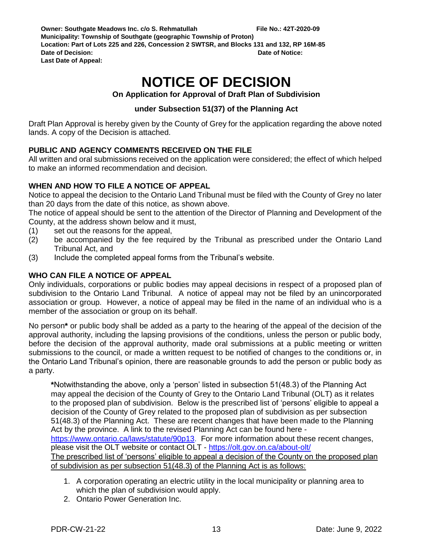# **NOTICE OF DECISION**

**On Application for Approval of Draft Plan of Subdivision**

#### **under Subsection 51(37) of the Planning Act**

Draft Plan Approval is hereby given by the County of Grey for the application regarding the above noted lands. A copy of the Decision is attached.

#### **PUBLIC AND AGENCY COMMENTS RECEIVED ON THE FILE**

All written and oral submissions received on the application were considered; the effect of which helped to make an informed recommendation and decision.

#### **WHEN AND HOW TO FILE A NOTICE OF APPEAL**

Notice to appeal the decision to the Ontario Land Tribunal must be filed with the County of Grey no later than 20 days from the date of this notice, as shown above.

The notice of appeal should be sent to the attention of the Director of Planning and Development of the County, at the address shown below and it must,

- (1) set out the reasons for the appeal,
- (2) be accompanied by the fee required by the Tribunal as prescribed under the Ontario Land Tribunal Act, and
- (3) Include the completed appeal forms from the Tribunal's website.

#### **WHO CAN FILE A NOTICE OF APPEAL**

Only individuals, corporations or public bodies may appeal decisions in respect of a proposed plan of subdivision to the Ontario Land Tribunal. A notice of appeal may not be filed by an unincorporated association or group. However, a notice of appeal may be filed in the name of an individual who is a member of the association or group on its behalf.

No person**\*** or public body shall be added as a party to the hearing of the appeal of the decision of the approval authority, including the lapsing provisions of the conditions, unless the person or public body, before the decision of the approval authority, made oral submissions at a public meeting or written submissions to the council, or made a written request to be notified of changes to the conditions or, in the Ontario Land Tribunal's opinion, there are reasonable grounds to add the person or public body as a party.

**\***Notwithstanding the above, only a 'person' listed in subsection 51(48.3) of the Planning Act may appeal the decision of the County of Grey to the Ontario Land Tribunal (OLT) as it relates to the proposed plan of subdivision. Below is the prescribed list of 'persons' eligible to appeal a decision of the County of Grey related to the proposed plan of subdivision as per subsection 51(48.3) of the Planning Act. These are recent changes that have been made to the Planning Act by the province. A link to the revised Planning Act can be found here [https://www.ontario.ca/laws/statute/90p13.](https://www.ontario.ca/laws/statute/90p13) For more information about these recent changes, please visit the OLT website or contact OLT - <https://olt.gov.on.ca/about-olt/> The prescribed list of 'persons' eligible to appeal a decision of the County on the proposed plan of subdivision as per subsection 51(48.3) of the Planning Act is as follows:

- 1. A corporation operating an electric utility in the local municipality or planning area to which the plan of subdivision would apply.
- 2. Ontario Power Generation Inc.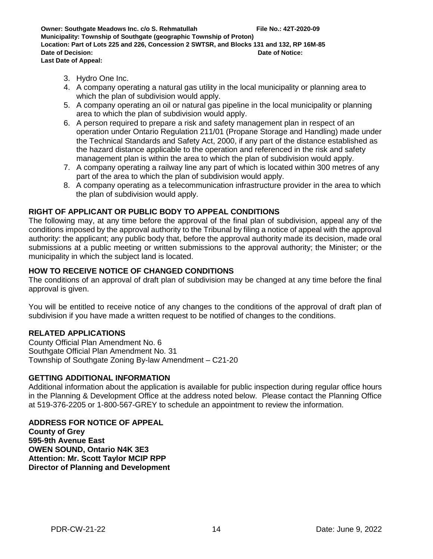- 3. Hydro One Inc.
- 4. A company operating a natural gas utility in the local municipality or planning area to which the plan of subdivision would apply.
- 5. A company operating an oil or natural gas pipeline in the local municipality or planning area to which the plan of subdivision would apply.
- 6. A person required to prepare a risk and safety management plan in respect of an operation under Ontario Regulation 211/01 (Propane Storage and Handling) made under the Technical Standards and Safety Act, 2000, if any part of the distance established as the hazard distance applicable to the operation and referenced in the risk and safety management plan is within the area to which the plan of subdivision would apply.
- 7. A company operating a railway line any part of which is located within 300 metres of any part of the area to which the plan of subdivision would apply.
- 8. A company operating as a telecommunication infrastructure provider in the area to which the plan of subdivision would apply.

#### **RIGHT OF APPLICANT OR PUBLIC BODY TO APPEAL CONDITIONS**

The following may, at any time before the approval of the final plan of subdivision, appeal any of the conditions imposed by the approval authority to the Tribunal by filing a notice of appeal with the approval authority: the applicant; any public body that, before the approval authority made its decision, made oral submissions at a public meeting or written submissions to the approval authority; the Minister; or the municipality in which the subject land is located.

#### **HOW TO RECEIVE NOTICE OF CHANGED CONDITIONS**

The conditions of an approval of draft plan of subdivision may be changed at any time before the final approval is given.

You will be entitled to receive notice of any changes to the conditions of the approval of draft plan of subdivision if you have made a written request to be notified of changes to the conditions.

#### **RELATED APPLICATIONS**

County Official Plan Amendment No. 6 Southgate Official Plan Amendment No. 31 Township of Southgate Zoning By-law Amendment – C21-20

#### **GETTING ADDITIONAL INFORMATION**

Additional information about the application is available for public inspection during regular office hours in the Planning & Development Office at the address noted below. Please contact the Planning Office at 519-376-2205 or 1-800-567-GREY to schedule an appointment to review the information.

**ADDRESS FOR NOTICE OF APPEAL County of Grey 595-9th Avenue East OWEN SOUND, Ontario N4K 3E3 Attention: Mr. Scott Taylor MCIP RPP Director of Planning and Development**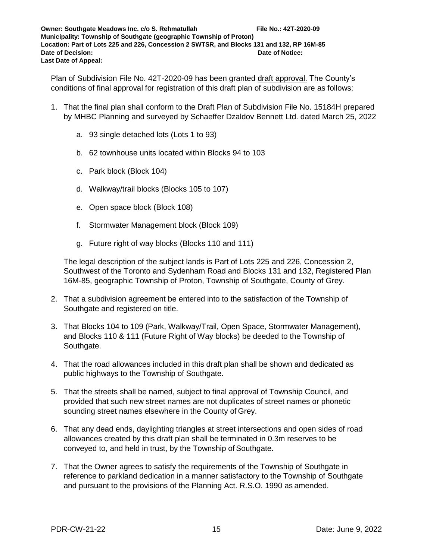Plan of Subdivision File No. 42T-2020-09 has been granted draft approval. The County's conditions of final approval for registration of this draft plan of subdivision are as follows:

- 1. That the final plan shall conform to the Draft Plan of Subdivision File No. 15184H prepared by MHBC Planning and surveyed by Schaeffer Dzaldov Bennett Ltd. dated March 25, 2022
	- a. 93 single detached lots (Lots 1 to 93)
	- b. 62 townhouse units located within Blocks 94 to 103
	- c. Park block (Block 104)
	- d. Walkway/trail blocks (Blocks 105 to 107)
	- e. Open space block (Block 108)
	- f. Stormwater Management block (Block 109)
	- g. Future right of way blocks (Blocks 110 and 111)

The legal description of the subject lands is Part of Lots 225 and 226, Concession 2, Southwest of the Toronto and Sydenham Road and Blocks 131 and 132, Registered Plan 16M-85, geographic Township of Proton, Township of Southgate, County of Grey.

- 2. That a subdivision agreement be entered into to the satisfaction of the Township of Southgate and registered on title.
- 3. That Blocks 104 to 109 (Park, Walkway/Trail, Open Space, Stormwater Management), and Blocks 110 & 111 (Future Right of Way blocks) be deeded to the Township of Southgate.
- 4. That the road allowances included in this draft plan shall be shown and dedicated as public highways to the Township of Southgate.
- 5. That the streets shall be named, subject to final approval of Township Council, and provided that such new street names are not duplicates of street names or phonetic sounding street names elsewhere in the County of Grey.
- 6. That any dead ends, daylighting triangles at street intersections and open sides of road allowances created by this draft plan shall be terminated in 0.3m reserves to be conveyed to, and held in trust, by the Township of Southgate.
- 7. That the Owner agrees to satisfy the requirements of the Township of Southgate in reference to parkland dedication in a manner satisfactory to the Township of Southgate and pursuant to the provisions of the Planning Act. R.S.O. 1990 as amended.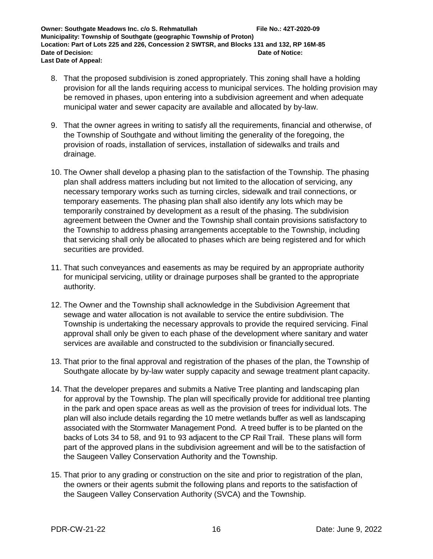- 8. That the proposed subdivision is zoned appropriately. This zoning shall have a holding provision for all the lands requiring access to municipal services. The holding provision may be removed in phases, upon entering into a subdivision agreement and when adequate municipal water and sewer capacity are available and allocated by by-law.
- 9. That the owner agrees in writing to satisfy all the requirements, financial and otherwise, of the Township of Southgate and without limiting the generality of the foregoing, the provision of roads, installation of services, installation of sidewalks and trails and drainage.
- 10. The Owner shall develop a phasing plan to the satisfaction of the Township. The phasing plan shall address matters including but not limited to the allocation of servicing, any necessary temporary works such as turning circles, sidewalk and trail connections, or temporary easements. The phasing plan shall also identify any lots which may be temporarily constrained by development as a result of the phasing. The subdivision agreement between the Owner and the Township shall contain provisions satisfactory to the Township to address phasing arrangements acceptable to the Township, including that servicing shall only be allocated to phases which are being registered and for which securities are provided.
- 11. That such conveyances and easements as may be required by an appropriate authority for municipal servicing, utility or drainage purposes shall be granted to the appropriate authority.
- 12. The Owner and the Township shall acknowledge in the Subdivision Agreement that sewage and water allocation is not available to service the entire subdivision. The Township is undertaking the necessary approvals to provide the required servicing. Final approval shall only be given to each phase of the development where sanitary and water services are available and constructed to the subdivision or financially secured.
- 13. That prior to the final approval and registration of the phases of the plan, the Township of Southgate allocate by by-law water supply capacity and sewage treatment plant capacity.
- 14. That the developer prepares and submits a Native Tree planting and landscaping plan for approval by the Township. The plan will specifically provide for additional tree planting in the park and open space areas as well as the provision of trees for individual lots. The plan will also include details regarding the 10 metre wetlands buffer as well as landscaping associated with the Stormwater Management Pond. A treed buffer is to be planted on the backs of Lots 34 to 58, and 91 to 93 adjacent to the CP Rail Trail. These plans will form part of the approved plans in the subdivision agreement and will be to the satisfaction of the Saugeen Valley Conservation Authority and the Township.
- 15. That prior to any grading or construction on the site and prior to registration of the plan, the owners or their agents submit the following plans and reports to the satisfaction of the Saugeen Valley Conservation Authority (SVCA) and the Township.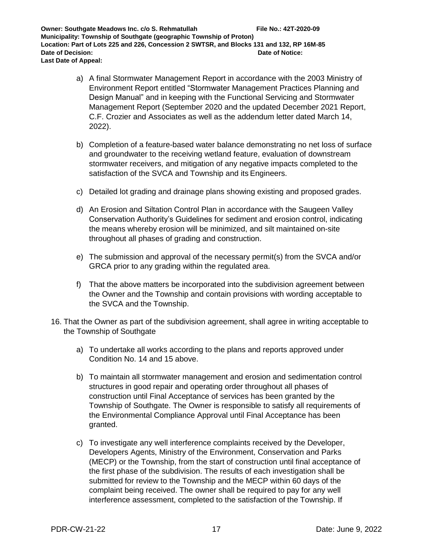- a) A final Stormwater Management Report in accordance with the 2003 Ministry of Environment Report entitled "Stormwater Management Practices Planning and Design Manual" and in keeping with the Functional Servicing and Stormwater Management Report (September 2020 and the updated December 2021 Report, C.F. Crozier and Associates as well as the addendum letter dated March 14, 2022).
- b) Completion of a feature-based water balance demonstrating no net loss of surface and groundwater to the receiving wetland feature, evaluation of downstream stormwater receivers, and mitigation of any negative impacts completed to the satisfaction of the SVCA and Township and its Engineers.
- c) Detailed lot grading and drainage plans showing existing and proposed grades.
- d) An Erosion and Siltation Control Plan in accordance with the Saugeen Valley Conservation Authority's Guidelines for sediment and erosion control, indicating the means whereby erosion will be minimized, and silt maintained on-site throughout all phases of grading and construction.
- e) The submission and approval of the necessary permit(s) from the SVCA and/or GRCA prior to any grading within the regulated area.
- f) That the above matters be incorporated into the subdivision agreement between the Owner and the Township and contain provisions with wording acceptable to the SVCA and the Township.
- 16. That the Owner as part of the subdivision agreement, shall agree in writing acceptable to the Township of Southgate
	- a) To undertake all works according to the plans and reports approved under Condition No. 14 and 15 above.
	- b) To maintain all stormwater management and erosion and sedimentation control structures in good repair and operating order throughout all phases of construction until Final Acceptance of services has been granted by the Township of Southgate. The Owner is responsible to satisfy all requirements of the Environmental Compliance Approval until Final Acceptance has been granted.
	- c) To investigate any well interference complaints received by the Developer, Developers Agents, Ministry of the Environment, Conservation and Parks (MECP) or the Township, from the start of construction until final acceptance of the first phase of the subdivision. The results of each investigation shall be submitted for review to the Township and the MECP within 60 days of the complaint being received. The owner shall be required to pay for any well interference assessment, completed to the satisfaction of the Township. If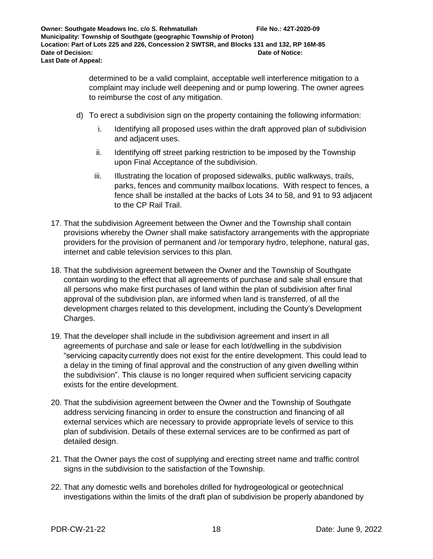determined to be a valid complaint, acceptable well interference mitigation to a complaint may include well deepening and or pump lowering. The owner agrees to reimburse the cost of any mitigation.

- d) To erect a subdivision sign on the property containing the following information:
	- i. Identifying all proposed uses within the draft approved plan of subdivision and adjacent uses.
	- ii. Identifying off street parking restriction to be imposed by the Township upon Final Acceptance of the subdivision.
	- iii. Illustrating the location of proposed sidewalks, public walkways, trails, parks, fences and community mailbox locations. With respect to fences, a fence shall be installed at the backs of Lots 34 to 58, and 91 to 93 adjacent to the CP Rail Trail.
- 17. That the subdivision Agreement between the Owner and the Township shall contain provisions whereby the Owner shall make satisfactory arrangements with the appropriate providers for the provision of permanent and /or temporary hydro, telephone, natural gas, internet and cable television services to this plan.
- 18. That the subdivision agreement between the Owner and the Township of Southgate contain wording to the effect that all agreements of purchase and sale shall ensure that all persons who make first purchases of land within the plan of subdivision after final approval of the subdivision plan, are informed when land is transferred, of all the development charges related to this development, including the County's Development Charges.
- 19. That the developer shall include in the subdivision agreement and insert in all agreements of purchase and sale or lease for each lot/dwelling in the subdivision "servicing capacity currently does not exist for the entire development. This could lead to a delay in the timing of final approval and the construction of any given dwelling within the subdivision". This clause is no longer required when sufficient servicing capacity exists for the entire development.
- 20. That the subdivision agreement between the Owner and the Township of Southgate address servicing financing in order to ensure the construction and financing of all external services which are necessary to provide appropriate levels of service to this plan of subdivision. Details of these external services are to be confirmed as part of detailed design.
- 21. That the Owner pays the cost of supplying and erecting street name and traffic control signs in the subdivision to the satisfaction of the Township.
- 22. That any domestic wells and boreholes drilled for hydrogeological or geotechnical investigations within the limits of the draft plan of subdivision be properly abandoned by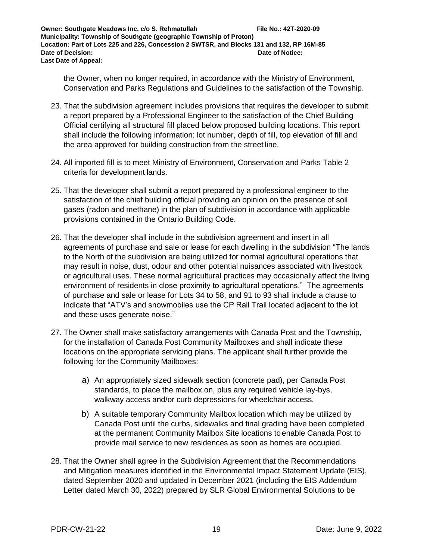the Owner, when no longer required, in accordance with the Ministry of Environment, Conservation and Parks Regulations and Guidelines to the satisfaction of the Township.

- 23. That the subdivision agreement includes provisions that requires the developer to submit a report prepared by a Professional Engineer to the satisfaction of the Chief Building Official certifying all structural fill placed below proposed building locations. This report shall include the following information: lot number, depth of fill, top elevation of fill and the area approved for building construction from the street line.
- 24. All imported fill is to meet Ministry of Environment, Conservation and Parks Table 2 criteria for development lands.
- 25. That the developer shall submit a report prepared by a professional engineer to the satisfaction of the chief building official providing an opinion on the presence of soil gases (radon and methane) in the plan of subdivision in accordance with applicable provisions contained in the Ontario Building Code.
- 26. That the developer shall include in the subdivision agreement and insert in all agreements of purchase and sale or lease for each dwelling in the subdivision "The lands to the North of the subdivision are being utilized for normal agricultural operations that may result in noise, dust, odour and other potential nuisances associated with livestock or agricultural uses. These normal agricultural practices may occasionally affect the living environment of residents in close proximity to agricultural operations." The agreements of purchase and sale or lease for Lots 34 to 58, and 91 to 93 shall include a clause to indicate that "ATV's and snowmobiles use the CP Rail Trail located adjacent to the lot and these uses generate noise."
- 27. The Owner shall make satisfactory arrangements with Canada Post and the Township, for the installation of Canada Post Community Mailboxes and shall indicate these locations on the appropriate servicing plans. The applicant shall further provide the following for the Community Mailboxes:
	- a) An appropriately sized sidewalk section (concrete pad), per Canada Post standards, to place the mailbox on, plus any required vehicle lay-bys, walkway access and/or curb depressions for wheelchair access.
	- b) A suitable temporary Community Mailbox location which may be utilized by Canada Post until the curbs, sidewalks and final grading have been completed at the permanent Community Mailbox Site locations toenable Canada Post to provide mail service to new residences as soon as homes are occupied.
- 28. That the Owner shall agree in the Subdivision Agreement that the Recommendations and Mitigation measures identified in the Environmental Impact Statement Update (EIS), dated September 2020 and updated in December 2021 (including the EIS Addendum Letter dated March 30, 2022) prepared by SLR Global Environmental Solutions to be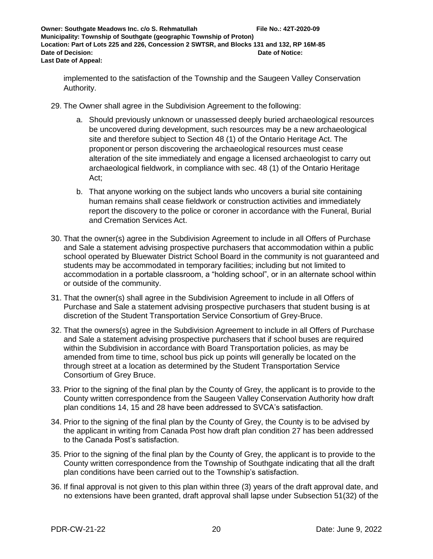implemented to the satisfaction of the Township and the Saugeen Valley Conservation Authority.

- 29. The Owner shall agree in the Subdivision Agreement to the following:
	- a. Should previously unknown or unassessed deeply buried archaeological resources be uncovered during development, such resources may be a new archaeological site and therefore subject to Section 48 (1) of the Ontario Heritage Act. The proponent or person discovering the archaeological resources must cease alteration of the site immediately and engage a licensed archaeologist to carry out archaeological fieldwork, in compliance with sec. 48 (1) of the Ontario Heritage Act;
	- b. That anyone working on the subject lands who uncovers a burial site containing human remains shall cease fieldwork or construction activities and immediately report the discovery to the police or coroner in accordance with the Funeral, Burial and Cremation Services Act.
- 30. That the owner(s) agree in the Subdivision Agreement to include in all Offers of Purchase and Sale a statement advising prospective purchasers that accommodation within a public school operated by Bluewater District School Board in the community is not guaranteed and students may be accommodated in temporary facilities; including but not limited to accommodation in a portable classroom, a "holding school", or in an alternate school within or outside of the community.
- 31. That the owner(s) shall agree in the Subdivision Agreement to include in all Offers of Purchase and Sale a statement advising prospective purchasers that student busing is at discretion of the Student Transportation Service Consortium of Grey-Bruce.
- 32. That the owners(s) agree in the Subdivision Agreement to include in all Offers of Purchase and Sale a statement advising prospective purchasers that if school buses are required within the Subdivision in accordance with Board Transportation policies, as may be amended from time to time, school bus pick up points will generally be located on the through street at a location as determined by the Student Transportation Service Consortium of Grey Bruce.
- 33. Prior to the signing of the final plan by the County of Grey, the applicant is to provide to the County written correspondence from the Saugeen Valley Conservation Authority how draft plan conditions 14, 15 and 28 have been addressed to SVCA's satisfaction.
- 34. Prior to the signing of the final plan by the County of Grey, the County is to be advised by the applicant in writing from Canada Post how draft plan condition 27 has been addressed to the Canada Post's satisfaction.
- 35. Prior to the signing of the final plan by the County of Grey, the applicant is to provide to the County written correspondence from the Township of Southgate indicating that all the draft plan conditions have been carried out to the Township's satisfaction.
- 36. If final approval is not given to this plan within three (3) years of the draft approval date, and no extensions have been granted, draft approval shall lapse under Subsection 51(32) of the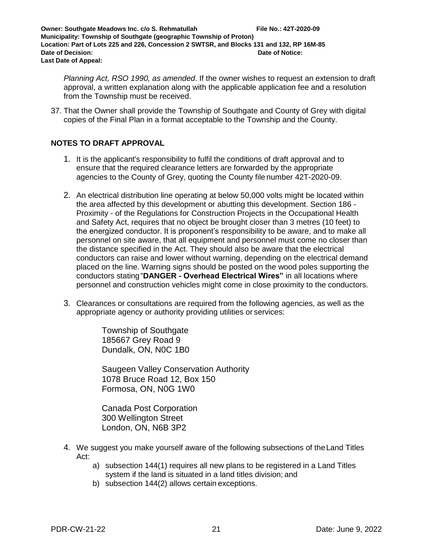*Planning Act, RSO 1990, as amended*. If the owner wishes to request an extension to draft approval, a written explanation along with the applicable application fee and a resolution from the Township must be received.

37. That the Owner shall provide the Township of Southgate and County of Grey with digital copies of the Final Plan in a format acceptable to the Township and the County.

#### **NOTES TO DRAFT APPROVAL**

- 1. It is the applicant's responsibility to fulfil the conditions of draft approval and to ensure that the required clearance letters are forwarded by the appropriate agencies to the County of Grey, quoting the County file number 42T-2020-09.
- 2. An electrical distribution line operating at below 50,000 volts might be located within the area affected by this development or abutting this development. Section 186 - Proximity - of the Regulations for Construction Projects in the Occupational Health and Safety Act, requires that no object be brought closer than 3 metres (10 feet) to the energized conductor. It is proponent's responsibility to be aware, and to make all personnel on site aware, that all equipment and personnel must come no closer than the distance specified in the Act. They should also be aware that the electrical conductors can raise and lower without warning, depending on the electrical demand placed on the line. Warning signs should be posted on the wood poles supporting the conductors stating"**DANGER - Overhead Electrical Wires"** in all locations where personnel and construction vehicles might come in close proximity to the conductors.
- 3. Clearances or consultations are required from the following agencies, as well as the appropriate agency or authority providing utilities or services:

Township of Southgate 185667 Grey Road 9 Dundalk, ON, N0C 1B0

Saugeen Valley Conservation Authority 1078 Bruce Road 12, Box 150 Formosa, ON, N0G 1W0

Canada Post Corporation 300 Wellington Street London, ON, N6B 3P2

- 4. We suggest you make yourself aware of the following subsections of theLand Titles Act:
	- a) subsection 144(1) requires all new plans to be registered in a Land Titles system if the land is situated in a land titles division; and
	- b) subsection 144(2) allows certain exceptions.